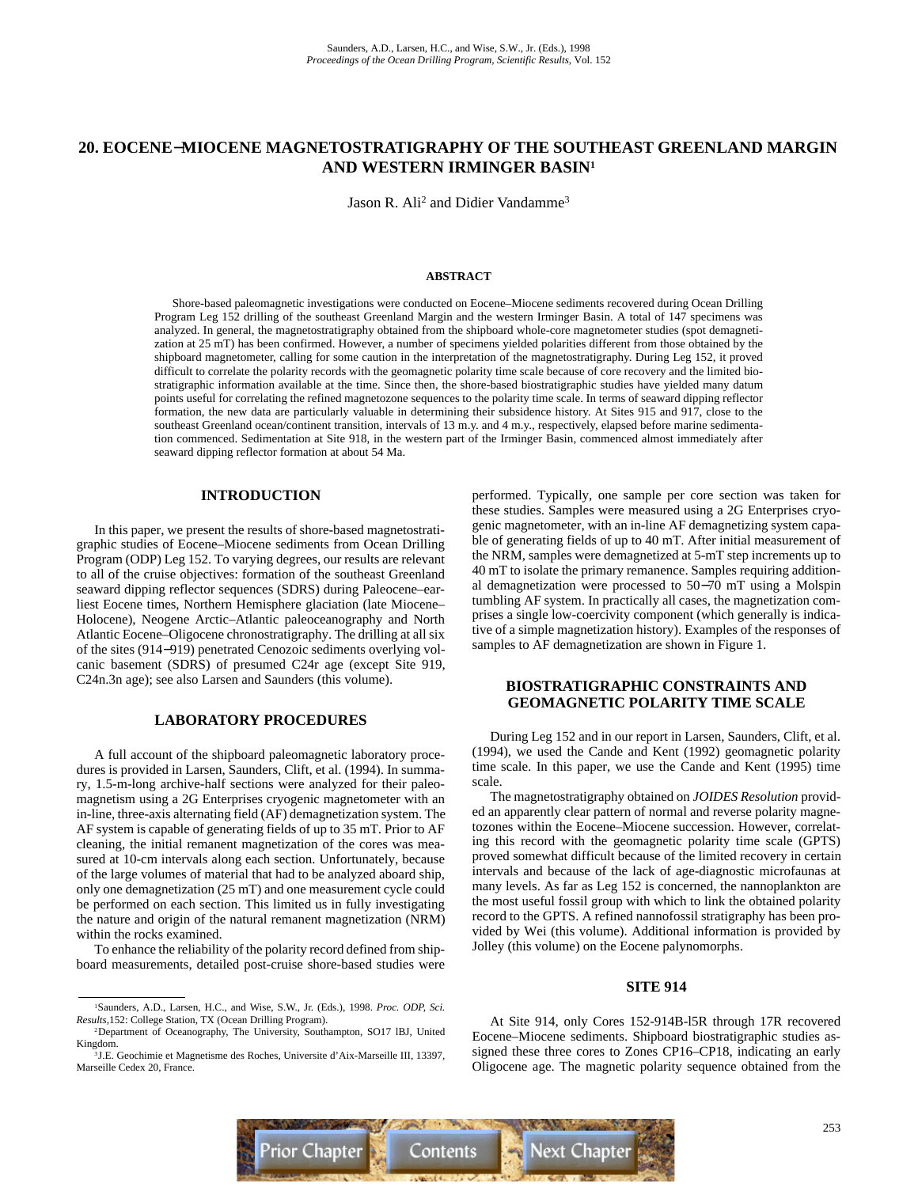# **20. EOCENE**−**MIOCENE MAGNETOSTRATIGRAPHY OF THE SOUTHEAST GREENLAND MARGIN AND WESTERN IRMINGER BASIN1**

Jason R. Ali<sup>2</sup> and Didier Vandamme<sup>3</sup>

#### **ABSTRACT**

Shore-based paleomagnetic investigations were conducted on Eocene–Miocene sediments recovered during Ocean Drilling Program Leg 152 drilling of the southeast Greenland Margin and the western Irminger Basin. A total of 147 specimens was analyzed. In general, the magnetostratigraphy obtained from the shipboard whole-core magnetometer studies (spot demagnetization at 25 mT) has been confirmed. However, a number of specimens yielded polarities different from those obtained by the shipboard magnetometer, calling for some caution in the interpretation of the magnetostratigraphy. During Leg 152, it proved difficult to correlate the polarity records with the geomagnetic polarity time scale because of core recovery and the limited biostratigraphic information available at the time. Since then, the shore-based biostratigraphic studies have yielded many datum points useful for correlating the refined magnetozone sequences to the polarity time scale. In terms of seaward dipping reflector formation, the new data are particularly valuable in determining their subsidence history. At Sites 915 and 917, close to the southeast Greenland ocean/continent transition, intervals of 13 m.y. and 4 m.y., respectively, elapsed before marine sedimentation commenced. Sedimentation at Site 918, in the western part of the Irminger Basin, commenced almost immediately after seaward dipping reflector formation at about 54 Ma.

# **INTRODUCTION**

In this paper, we present the results of shore-based magnetostratigraphic studies of Eocene–Miocene sediments from Ocean Drilling Program (ODP) Leg 152. To varying degrees, our results are relevant to all of the cruise objectives: formation of the southeast Greenland seaward dipping reflector sequences (SDRS) during Paleocene–earliest Eocene times, Northern Hemisphere glaciation (late Miocene– Holocene), Neogene Arctic–Atlantic paleoceanography and North Atlantic Eocene–Oligocene chronostratigraphy. The drilling at all six of the sites (914−919) penetrated Cenozoic sediments overlying volcanic basement (SDRS) of presumed C24r age (except Site 919, C24n.3n age); see also Larsen and Saunders (this volume).

#### **LABORATORY PROCEDURES**

A full account of the shipboard paleomagnetic laboratory procedures is provided in Larsen, Saunders, Clift, et al. (1994). In summary, 1.5-m-long archive-half sections were analyzed for their paleomagnetism using a 2G Enterprises cryogenic magnetometer with an in-line, three-axis alternating field (AF) demagnetization system. The AF system is capable of generating fields of up to 35 mT. Prior to AF cleaning, the initial remanent magnetization of the cores was measured at 10-cm intervals along each section. Unfortunately, because of the large volumes of material that had to be analyzed aboard ship, only one demagnetization (25 mT) and one measurement cycle could be performed on each section. This limited us in fully investigating the nature and origin of the natural remanent magnetization (NRM) within the rocks examined.

To enhance the reliability of the polarity record defined from shipboard measurements, detailed post-cruise shore-based studies were performed. Typically, one sample per core section was taken for these studies. Samples were measured using a 2G Enterprises cryogenic magnetometer, with an in-line AF demagnetizing system capable of generating fields of up to 40 mT. After initial measurement of the NRM, samples were demagnetized at 5-mT step increments up to 40 mT to isolate the primary remanence. Samples requiring additional demagnetization were processed to 50−70 mT using a Molspin tumbling AF system. In practically all cases, the magnetization comprises a single low-coercivity component (which generally is indicative of a simple magnetization history). Examples of the responses of samples to AF demagnetization are shown in Figure 1.

# **BIOSTRATIGRAPHIC CONSTRAINTS AND GEOMAGNETIC POLARITY TIME SCALE**

During Leg 152 and in our report in Larsen, Saunders, Clift, et al. (1994), we used the Cande and Kent (1992) geomagnetic polarity time scale. In this paper, we use the Cande and Kent (1995) time scale.

The magnetostratigraphy obtained on *JOIDES Resolution* provided an apparently clear pattern of normal and reverse polarity magnetozones within the Eocene–Miocene succession. However, correlating this record with the geomagnetic polarity time scale (GPTS) proved somewhat difficult because of the limited recovery in certain intervals and because of the lack of age-diagnostic microfaunas at many levels. As far as Leg 152 is concerned, the nannoplankton are the most useful fossil group with which to link the obtained polarity record to the GPTS. A refined nannofossil stratigraphy has been provided by Wei (this volume). Additional information is provided by Jolley (this volume) on the Eocene palynomorphs.

# **SITE 914**

At Site 914, only Cores 152-914B-l5R through 17R recovered Eocene–Miocene sediments. Shipboard biostratigraphic studies assigned these three cores to Zones CP16–CP18, indicating an early Oligocene age. The magnetic polarity sequence obtained from the



<sup>1</sup>Saunders, A.D., Larsen, H.C., and Wise, S.W., Jr. (Eds.), 1998. *Proc. ODP, Sci. Results,*152: College Station, TX (Ocean Drilling Program).

<sup>2</sup>Department of Oceanography, The University, Southampton, SO17 lBJ, United Kingdom.

<sup>&</sup>lt;sup>3</sup>J.E. Geochimie et Magnetisme des Roches, Universite d'Aix-Marseille III, 13397, Marseille Cedex 20, France.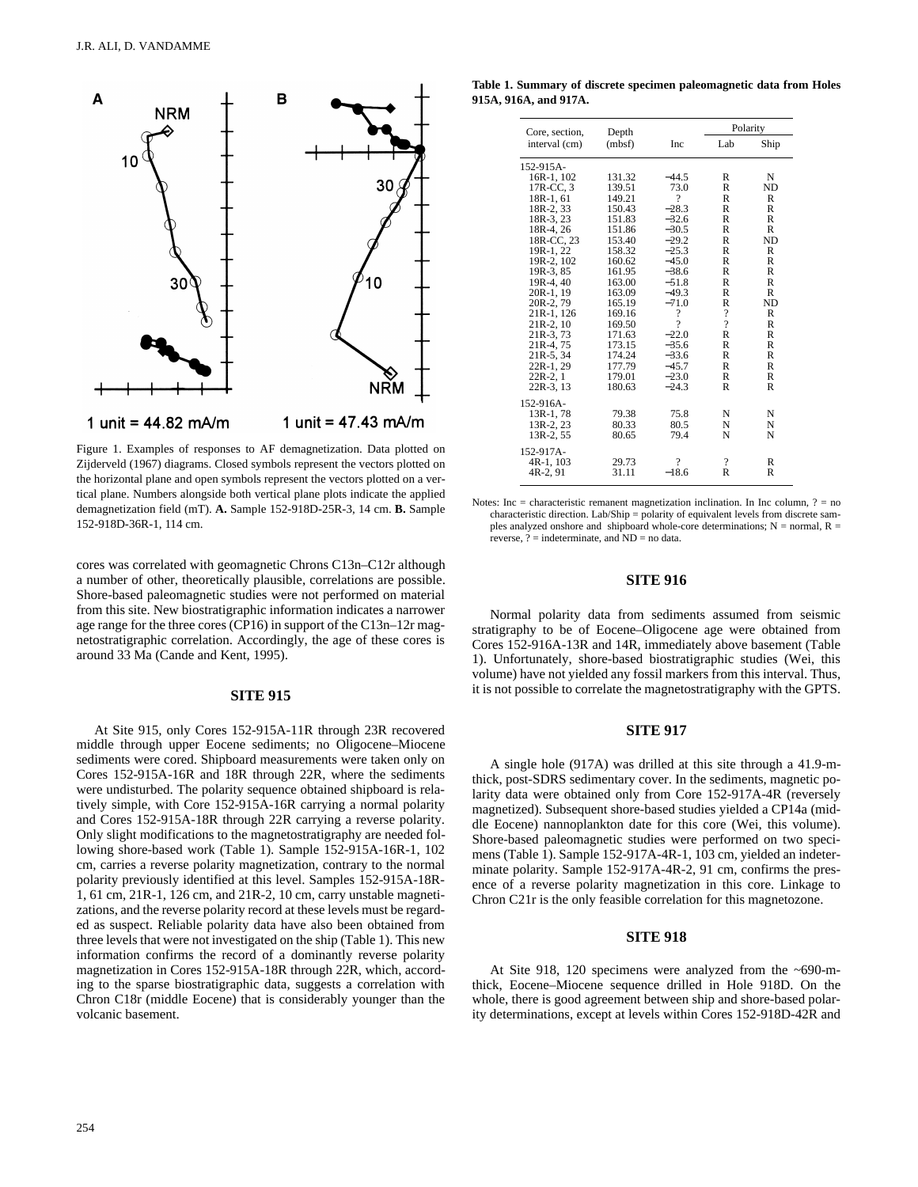

Figure 1. Examples of responses to AF demagnetization. Data plotted on Zijderveld (1967) diagrams. Closed symbols represent the vectors plotted on the horizontal plane and open symbols represent the vectors plotted on a vertical plane. Numbers alongside both vertical plane plots indicate the applied demagnetization field (mT). **A.** Sample 152-918D-25R-3, 14 cm. **B.** Sample 152-918D-36R-1, 114 cm.

cores was correlated with geomagnetic Chrons C13n–C12r although a number of other, theoretically plausible, correlations are possible. Shore-based paleomagnetic studies were not performed on material from this site. New biostratigraphic information indicates a narrower age range for the three cores (CP16) in support of the C13n–12r magnetostratigraphic correlation. Accordingly, the age of these cores is around 33 Ma (Cande and Kent, 1995).

### **SITE 915**

At Site 915, only Cores 152-915A-11R through 23R recovered middle through upper Eocene sediments; no Oligocene–Miocene sediments were cored. Shipboard measurements were taken only on Cores 152-915A-16R and 18R through 22R, where the sediments were undisturbed. The polarity sequence obtained shipboard is relatively simple, with Core 152-915A-16R carrying a normal polarity and Cores 152-915A-18R through 22R carrying a reverse polarity. Only slight modifications to the magnetostratigraphy are needed following shore-based work (Table 1). Sample 152-915A-16R-1, 102 cm, carries a reverse polarity magnetization, contrary to the normal polarity previously identified at this level. Samples 152-915A-18R-1, 61 cm, 21R-1, 126 cm, and 21R-2, 10 cm, carry unstable magnetizations, and the reverse polarity record at these levels must be regarded as suspect. Reliable polarity data have also been obtained from three levels that were not investigated on the ship (Table 1). This new information confirms the record of a dominantly reverse polarity magnetization in Cores 152-915A-18R through 22R, which, according to the sparse biostratigraphic data, suggests a correlation with Chron C18r (middle Eocene) that is considerably younger than the volcanic basement.

254

**Table 1. Summary of discrete specimen paleomagnetic data from Holes 915A, 916A, and 917A.**

| Core, section, | Depth  |                    | Polarity                 |                |  |
|----------------|--------|--------------------|--------------------------|----------------|--|
| interval (cm)  | (mbsf) | <b>Inc</b>         | Lab                      | Ship           |  |
| 152-915A-      |        |                    |                          |                |  |
| 16R-1, 102     | 131.32 | $-44.5$            | R                        | N              |  |
| 17R-CC, 3      | 139.51 | 73.0               | R                        | ND             |  |
| 18R-1, 61      | 149.21 | 9                  | R                        | R              |  |
| 18R-2, 33      | 150.43 | $-28.3$            | R                        | R              |  |
| 18R-3, 23      | 151.83 | $-32.6$            | R                        | R              |  |
| 18R-4, 26      | 151.86 | $-30.5$            | R                        | R              |  |
| 18R-CC, 23     | 153.40 | $-29.2$            | R                        | N <sub>D</sub> |  |
| 19R-1, 22      | 158.32 | $-25.3$            | R                        | R              |  |
| 19R-2, 102     | 160.62 | $-45.0$            | $\mathbb{R}$             | R              |  |
| 19R-3, 85      | 161.95 | $-38.6$            | R                        | R              |  |
| 19R-4, 40      | 163.00 | $-51.8$            | R                        | R              |  |
| 20R-1, 19      | 163.09 | $-49.3$            | R                        | R              |  |
| 20R-2, 79      | 165.19 | $-71.0$            | R                        | N <sub>D</sub> |  |
| 21R-1, 126     | 169.16 | $\overline{\cdot}$ | $\overline{\cdot}$       | R              |  |
| 21R-2, 10      | 169.50 | 9                  | $\overline{\mathcal{L}}$ | R              |  |
| 21R-3, 73      | 171.63 | $-22.0$            | $\mathbb{R}$             | R              |  |
| 21R-4, 75      | 173.15 | $-35.6$            | $\mathbb{R}$             | $\mathsf{R}$   |  |
| 21R-5, 34      | 174.24 | $-33.6$            | $\mathbb{R}$             | R              |  |
| 22R-1, 29      | 177.79 | $-45.7$            | R                        | R              |  |
| $22R-2, 1$     | 179.01 | $-23.0$            | R                        | R              |  |
| 22R-3, 13      | 180.63 | $-24.3$            | R                        | R              |  |
| 152-916A-      |        |                    |                          |                |  |
| 13R-1, 78      | 79.38  | 75.8               | N                        | N              |  |
| 13R-2, 23      | 80.33  | 80.5               | N                        | N              |  |
| 13R-2, 55      | 80.65  | 79.4               | N                        | N              |  |
| 152-917A-      |        |                    |                          |                |  |
| 4R-1, 103      | 29.73  | ?                  | ?                        | R              |  |
| 4R-2, 91       | 31.11  | $-18.6$            | $\mathbb{R}$             | R              |  |

Notes: Inc = characteristic remanent magnetization inclination. In Inc column, ? = no characteristic direction. Lab/Ship = polarity of equivalent levels from discrete samples analyzed onshore and shipboard whole-core determinations;  $N =$  normal,  $R =$ reverse,  $?$  = indeterminate, and  $ND$  = no data.

#### **SITE 916**

Normal polarity data from sediments assumed from seismic stratigraphy to be of Eocene–Oligocene age were obtained from Cores 152-916A-13R and 14R, immediately above basement (Table 1). Unfortunately, shore-based biostratigraphic studies (Wei, this volume) have not yielded any fossil markers from this interval. Thus, it is not possible to correlate the magnetostratigraphy with the GPTS.

#### **SITE 917**

A single hole (917A) was drilled at this site through a 41.9-mthick, post-SDRS sedimentary cover. In the sediments, magnetic polarity data were obtained only from Core 152-917A-4R (reversely magnetized). Subsequent shore-based studies yielded a CP14a (middle Eocene) nannoplankton date for this core (Wei, this volume). Shore-based paleomagnetic studies were performed on two specimens (Table 1). Sample 152-917A-4R-1, 103 cm, yielded an indeterminate polarity. Sample 152-917A-4R-2, 91 cm, confirms the presence of a reverse polarity magnetization in this core. Linkage to Chron C21r is the only feasible correlation for this magnetozone.

### **SITE 918**

At Site 918, 120 specimens were analyzed from the ~690-mthick, Eocene–Miocene sequence drilled in Hole 918D. On the whole, there is good agreement between ship and shore-based polarity determinations, except at levels within Cores 152-918D-42R and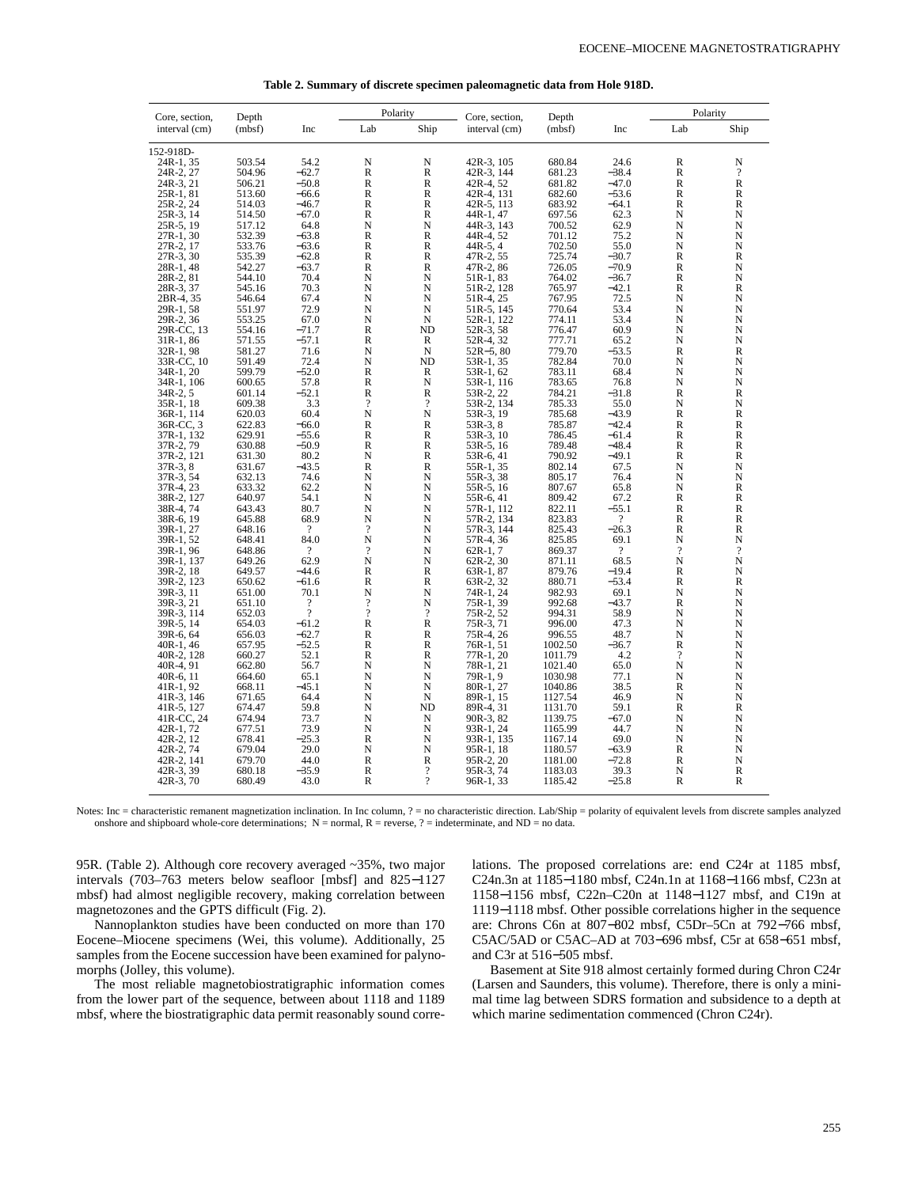| Core, section, | Depth  |                | Polarity                 |                          | Core, section, | Depth   |                | Polarity                 |                          |
|----------------|--------|----------------|--------------------------|--------------------------|----------------|---------|----------------|--------------------------|--------------------------|
| interval (cm)  | (mbsf) | Inc            | Lab                      | Ship                     | interval (cm)  | (mbsf)  | Inc            | Lab                      | Ship                     |
| 152-918D-      |        |                |                          |                          |                |         |                |                          |                          |
| 24R-1, 35      | 503.54 | 54.2           | N                        | N                        | 42R-3, 105     | 680.84  | 24.6           | R                        | N                        |
| 24R-2, 27      | 504.96 | $-62.7$        | $\mathbb{R}$             | $\mathbb{R}$             | 42R-3, 144     | 681.23  | $-38.4$        | $\mathbb R$              | $\gamma$                 |
| 24R-3, 21      | 506.21 | $-50.8$        | R                        | R                        | 42R-4, 52      | 681.82  | $-47.0$        | R                        | $\mathbb R$              |
| 25R-1, 81      | 513.60 | $-66.6$        | $\mathbb{R}$             | $\mathbb{R}$             | 42R-4, 131     | 682.60  | $-53.6$        | $\mathbb{R}$             | R                        |
| 25R-2, 24      | 514.03 | $-46.7$        | $\mathbb{R}$             | $\overline{R}$           | 42R-5, 113     | 683.92  | $-64.1$        | $\overline{\mathsf{R}}$  | $\overline{\mathsf{R}}$  |
| 25R-3, 14      | 514.50 | $-67.0$        | R                        | R                        | 44R-1, 47      | 697.56  | 62.3           | N                        | N                        |
| 25R-5, 19      | 517.12 | 64.8           | N                        | N                        | 44R-3, 143     | 700.52  | 62.9           | N                        | N                        |
| 27R-1, 30      | 532.39 | $-63.8$        | $\mathbb{R}$             | $\mathbb{R}$             | 44R-4, 52      | 701.12  | 75.2           | N                        | N                        |
| 27R-2, 17      | 533.76 | $-63.6$        | $\mathbb R$              | R                        | $44R-5, 4$     | 702.50  | 55.0           | N                        | N                        |
| 27R-3, 30      | 535.39 | $-62.8$        | $\mathbb R$              | R                        | 47R-2, 55      | 725.74  | $-30.7$        | R                        | $\mathbb{R}$             |
| 28R-1, 48      | 542.27 | $-63.7$        | $\mathbb R$              | R                        | 47R-2, 86      | 726.05  | $-70.9$        | R                        | N                        |
| 28R-2, 81      | 544.10 | 70.4           | N                        | N                        | 51R-1, 83      | 764.02  | $-36.7$        | $\mathbb{R}$             | N                        |
| 28R-3, 37      | 545.16 | 70.3           | N                        | N                        | 51R-2, 128     | 765.97  | $-42.1$        | R                        | $\mathbb R$              |
| 2BR-4, 35      | 546.64 | 67.4           | N                        | N                        | 51R-4, 25      | 767.95  | 72.5           | N                        | N                        |
| 29R-1, 58      | 551.97 | 72.9           | N                        | N                        | 51R-5, 145     | 770.64  | 53.4           | N                        | N                        |
| 29R-2, 36      | 553.25 | 67.0           | N                        | N                        | 52R-1, 122     | 774.11  | 53.4           | N                        | N                        |
| 29R-CC, 13     | 554.16 | $-71.7$        | $\mathbb{R}$             | <b>ND</b>                | 52R-3, 58      | 776.47  | 60.9           | N                        | N                        |
| 31R-1, 86      | 571.55 | $-57.1$        | $\mathbb R$              | R                        | 52R-4, 32      | 777.71  | 65.2           | N                        | N                        |
| 32R-1, 98      | 581.27 | 71.6           | N                        | N                        | $52R - 5, 80$  | 779.70  | $-53.5$        | $\mathbb R$              | $\mathbb R$              |
| 33R-CC, 10     | 591.49 | 72.4           | N                        | ND                       | 53R-1, 35      | 782.84  | 70.0           | N                        | N                        |
| 34R-1, 20      | 599.79 | $-52.0$        | $\mathbb{R}$             | R                        | 53R-1, 62      | 783.11  | 68.4           | N                        | N                        |
| 34R-1, 106     | 600.65 | 57.8           | $\mathbb{R}$             | $\mathbf N$              | 53R-1, 116     | 783.65  | 76.8           | N                        | N                        |
| 34R-2, 5       | 601.14 | $-52.1$        | $\mathbb R$              | R                        | 53R-2, 22      | 784.21  | $-31.8$        | $\mathbb R$              | $\mathbb R$              |
| 35R-1, 18      | 609.38 | 3.3            | $\overline{\cdot}$       | $\overline{\mathcal{L}}$ | 53R-2, 134     | 785.33  | 55.0           | N                        | N                        |
| 36R-1, 114     | 620.03 | 60.4           | N                        | N                        | 53R-3, 19      | 785.68  | $-43.9$        | $\mathbb{R}$             | $\mathbb{R}$             |
| 36R-CC, 3      | 622.83 | $-66.0$        | $\mathbb R$              | R                        | 53R-3, 8       | 785.87  | $-42.4$        | R                        | R                        |
| 37R-1, 132     | 629.91 | $-55.6$        | $\mathbb R$              | R                        | 53R-3, 10      | 786.45  | $-61.4$        | R                        | R                        |
| 37R-2, 79      | 630.88 | $-50.9$        | $\mathbb R$              | R                        | 53R-5, 16      | 789.48  | $-48.4$        | R                        | R                        |
| 37R-2, 121     | 631.30 | 80.2           | N                        | $\mathbb{R}$             | 53R-6, 41      | 790.92  | $-49.1$        | $\mathbb{R}$             | $\overline{R}$           |
| 37R-3, 8       | 631.67 | $-43.5$        | $\mathbb R$              | R                        | 55R-1, 35      | 802.14  | 67.5           | N                        | N                        |
| 37R-3, 54      | 632.13 | 74.6           | N                        | N                        | 55R-3, 38      | 805.17  | 76.4           | N                        | N                        |
| 37R-4, 23      | 633.32 | 62.2           | N                        | N                        | 55R-5, 16      | 807.67  | 65.8           | N                        | $\mathbb{R}$             |
| 38R-2, 127     | 640.97 | 54.1           | N                        | N                        | 55R-6, 41      | 809.42  | 67.2           | R                        | R                        |
| 38R-4, 74      | 643.43 | 80.7           | N                        | N                        | 57R-1, 112     | 822.11  | $-55.1$        | $\mathbb{R}$             | R                        |
| 38R-6, 19      | 645.88 | 68.9           | N                        | N                        | 57R-2, 134     | 823.83  | $\overline{?}$ | R                        | R                        |
| 39R-1, 27      | 648.16 | $\gamma$       | $\gamma$                 | N                        | 57R-3, 144     | 825.43  | $-26.3$        | $\mathbb{R}$             | $\overline{R}$           |
| 39R-1, 52      | 648.41 | 84.0           | N                        | N                        | 57R-4, 36      | 825.85  | 69.1           | N                        | N                        |
| 39R-1, 96      | 648.86 | $\gamma$       | $\gamma$                 | N                        | $62R-1, 7$     | 869.37  | $\gamma$       | $\overline{?}$           | $\overline{\mathcal{L}}$ |
| 39R-1, 137     | 649.26 | 62.9           | N                        | N                        | $62R-2, 30$    | 871.11  | 68.5           | N                        | N                        |
| 39R-2, 18      | 649.57 | $-44.6$        | $\mathbb R$              | $\mathbb R$              | 63R-1, 87      | 879.76  | $-19.4$        | R                        | N                        |
| 39R-2, 123     | 650.62 | $-61.6$        | R                        | $\mathbb{R}$             | 63R-2, 32      | 880.71  | $-53.4$        | R                        | R                        |
| 39R-3, 11      | 651.00 | 70.1           | N                        | N                        | 74R-1, 24      | 982.93  | 69.1           | N                        | N                        |
| 39R-3, 21      | 651.10 | 9              | $\gamma$                 | N                        | 75R-1, 39      | 992.68  | $-43.7$        | R                        | N                        |
| 39R-3, 114     | 652.03 | $\overline{?}$ | $\overline{\mathcal{L}}$ | $\overline{?}$           | 75R-2, 52      | 994.31  | 58.9           | N                        | N                        |
| 39R-5, 14      | 654.03 | $-61.2$        | $\mathbb R$              | $\mathbb{R}$             | 75R-3, 71      | 996.00  | 47.3           | N                        | N                        |
| 39R-6, 64      | 656.03 | $-62.7$        | $\mathbb{R}$             | $\mathbb{R}$             | 75R-4, 26      | 996.55  | 48.7           | N                        | N                        |
| 40R-1, 46      | 657.95 | $-52.5$        | $\mathbb R$              | $\mathbb R$              | 76R-1, 51      | 1002.50 | $-36.7$        | $\mathbb{R}$             | N                        |
| 40R-2, 128     | 660.27 | 52.1           | R                        | $\mathbb{R}$             | 77R-1, 20      | 1011.79 | 4.2            | $\overline{\mathcal{L}}$ | N                        |
| 40R-4, 91      | 662.80 | 56.7           | N                        | N                        | 78R-1, 21      | 1021.40 | 65.0           | N                        | N                        |
| $40R-6, 11$    | 664.60 | 65.1           | N                        | $\mathbf N$              | 79R-1, 9       | 1030.98 | 77.1           | N                        | N                        |
| $41R-1, 92$    | 668.11 | -45.1          | N                        | N                        | 80R-1, 27      | 1040.86 | 38.5           | R                        | N                        |
| 41R-3, 146     | 671.65 | 64.4           | N                        | N                        | 89R-1, 15      | 1127.54 | 46.9           | N                        | N                        |
| 41R-5, 127     | 674.47 | 59.8           | N                        | <b>ND</b>                | 89R-4, 31      | 1131.70 | 59.1           | R                        | $\mathbb{R}$             |
| 41R-CC, 24     | 674.94 | 73.7           | N                        | N                        | 90R-3, 82      | 1139.75 | $-67.0$        | N                        | N                        |
| 42R-1, 72      | 677.51 | 73.9           | N                        | N                        | 93R-1, 24      | 1165.99 | 44.7           | N                        | N                        |
| 42R-2, 12      | 678.41 | $-25.3$        | $\mathbb{R}$             | N                        | 93R-1, 135     | 1167.14 | 69.0           | N                        | N                        |
| 42R-2, 74      | 679.04 | 29.0           | N                        | N                        | 95R-1, 18      | 1180.57 | $-63.9$        | $\mathbb R$              | N                        |
| 42R-2, 141     | 679.70 | 44.0           | $\mathbb R$              | R                        | 95R-2, 20      | 1181.00 | $-72.8$        | R                        | N                        |
| 42R-3, 39      | 680.18 | $-35.9$        | $\mathbb{R}$             | $\gamma$                 | 95R-3, 74      | 1183.03 | 39.3           | N                        | $\overline{\mathsf{R}}$  |
| $42R-3, 70$    | 680.49 | 43.0           | $\mathbb{R}$             | $\gamma$                 | 96R-1, 33      | 1185.42 | $-25.8$        | R                        | $\mathbb{R}$             |

|  |  | Table 2. Summary of discrete specimen paleomagnetic data from Hole 918D. |  |
|--|--|--------------------------------------------------------------------------|--|
|  |  |                                                                          |  |

Notes: Inc = characteristic remanent magnetization inclination. In Inc column, ? = no characteristic direction. Lab/Ship = polarity of equivalent levels from discrete samples analyzed onshore and shipboard whole-core determinations;  $N =$  normal,  $R =$  reverse,  $? =$  indeterminate, and  $ND =$  no data.

95R. (Table 2). Although core recovery averaged ~35%, two major intervals (703–763 meters below seafloor [mbsf] and 825−1127 mbsf) had almost negligible recovery, making correlation between magnetozones and the GPTS difficult (Fig. 2).

Nannoplankton studies have been conducted on more than 170 Eocene–Miocene specimens (Wei, this volume). Additionally, 25 samples from the Eocene succession have been examined for palynomorphs (Jolley, this volume).

The most reliable magnetobiostratigraphic information comes from the lower part of the sequence, between about 1118 and 1189 mbsf, where the biostratigraphic data permit reasonably sound correlations. The proposed correlations are: end C24r at 1185 mbsf, C24n.3n at 1185−1180 mbsf, C24n.1n at 1168−1166 mbsf, C23n at 1158−1156 mbsf, C22n–C20n at 1148−1127 mbsf, and C19n at 1119−1118 mbsf. Other possible correlations higher in the sequence are: Chrons C6n at 807−802 mbsf, C5Dr–5Cn at 792−766 mbsf, C5AC/5AD or C5AC–AD at 703−696 mbsf, C5r at 658−651 mbsf, and C3r at 516−505 mbsf.

Basement at Site 918 almost certainly formed during Chron C24r (Larsen and Saunders, this volume). Therefore, there is only a minimal time lag between SDRS formation and subsidence to a depth at which marine sedimentation commenced (Chron C24r).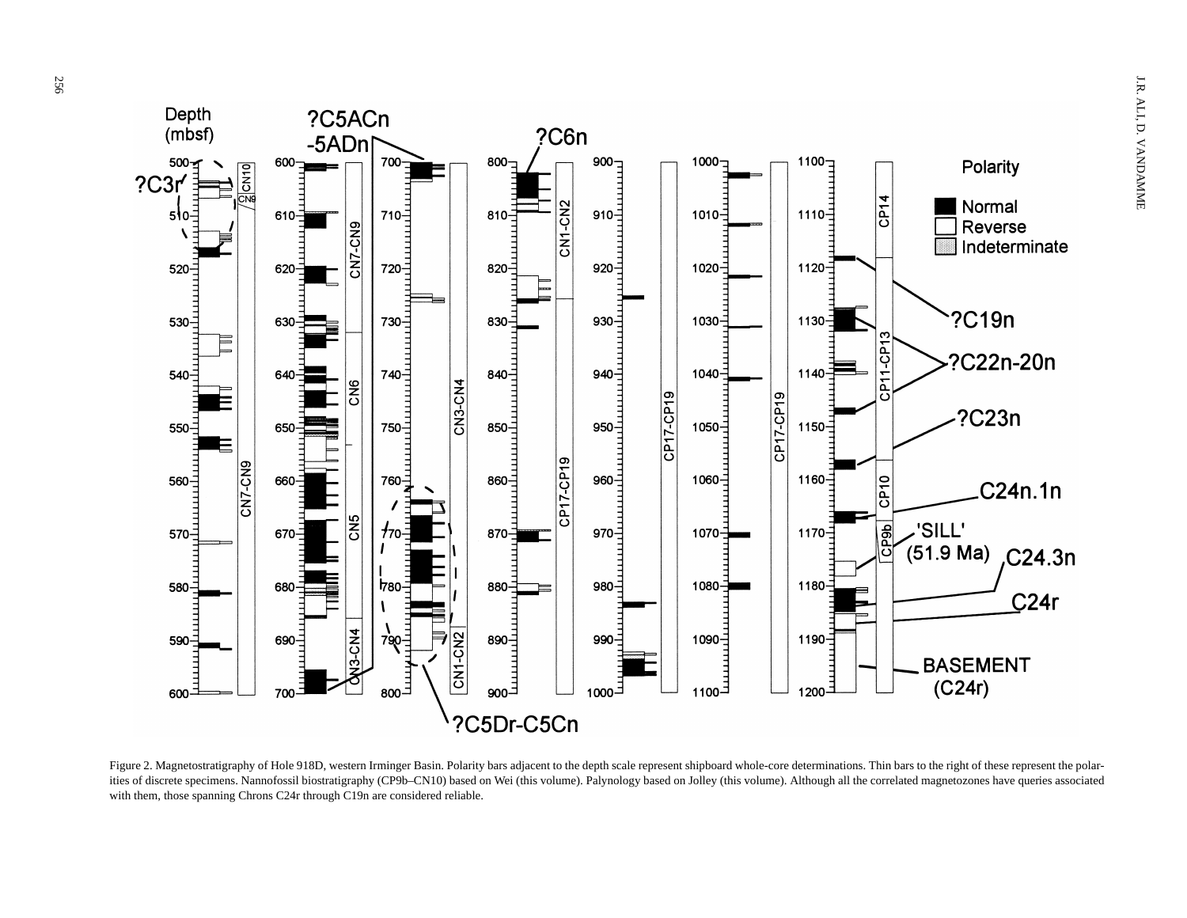

Figure 2. Magnetostratigraphy of Hole 918D, western Irminger Basin. Polarity bars adjacent to the depth scale represent shipboard whole-core determinations. Thin bars to the right of these represent the polarities of discrete specimens. Nannofossil biostratigraphy (CP9b–CN10) based on Wei (this volume). Palynology based on Jolley (this volume). Although all the correlated magnetozones have queries associated with them, those spanning Chrons C24r through C19n are considered reliable.